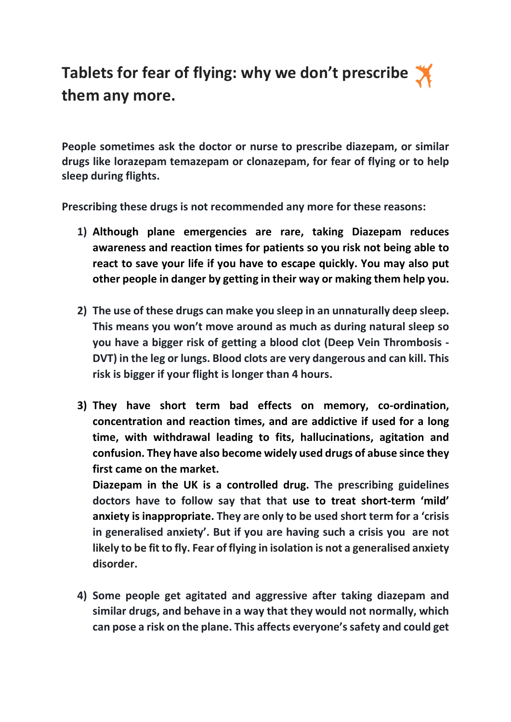## Tablets for fear of flying: why we don't prescribe  $\blacktriangleright$ them any more.

People sometimes ask the doctor or nurse to prescribe diazepam, or similar drugs like lorazepam temazepam or clonazepam, for fear of flying or to help sleep during flights.

Prescribing these drugs is not recommended any more for these reasons:

- 1) Although plane emergencies are rare, taking Diazepam reduces awareness and reaction times for patients so you risk not being able to react to save your life if you have to escape quickly. You may also put other people in danger by getting in their way or making them help you.
- 2) The use of these drugs can make you sleep in an unnaturally deep sleep. This means you won't move around as much as during natural sleep so you have a bigger risk of getting a blood clot (Deep Vein Thrombosis - DVT) in the leg or lungs. Blood clots are very dangerous and can kill. This risk is bigger if your flight is longer than 4 hours.
- 3) They have short term bad effects on memory, co-ordination, concentration and reaction times, and are addictive if used for a long time, with withdrawal leading to fits, hallucinations, agitation and confusion. They have also become widely used drugs of abuse since they first came on the market.

Diazepam in the UK is a controlled drug. The prescribing guidelines doctors have to follow say that that use to treat short-term 'mild' anxiety is inappropriate. They are only to be used short term for a 'crisis in generalised anxiety'. But if you are having such a crisis you are not likely to be fit to fly. Fear of flying in isolation is not a generalised anxiety disorder.

4) Some people get agitated and aggressive after taking diazepam and similar drugs, and behave in a way that they would not normally, which can pose a risk on the plane. This affects everyone's safety and could get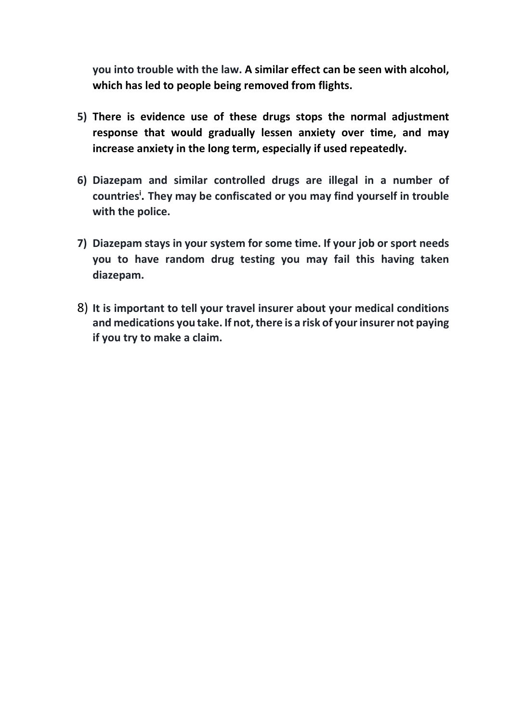you into trouble with the law. A similar effect can be seen with alcohol, which has led to people being removed from flights.

- 5) There is evidence use of these drugs stops the normal adjustment response that would gradually lessen anxiety over time, and may increase anxiety in the long term, especially if used repeatedly.
- 6) Diazepam and similar controlled drugs are illegal in a number of countries<sup>i</sup>. They may be confiscated or you may find yourself in trouble with the police.
- 7) Diazepam stays in your system for some time. If your job or sport needs you to have random drug testing you may fail this having taken diazepam.
- 8) It is important to tell your travel insurer about your medical conditions and medications you take. If not, there is a risk of your insurer not paying if you try to make a claim.